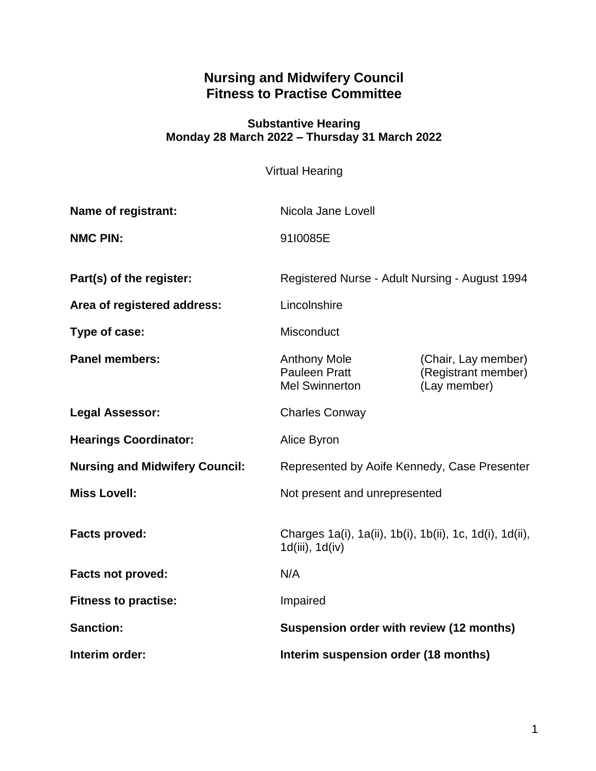# **Nursing and Midwifery Council Fitness to Practise Committee**

#### **Substantive Hearing Monday 28 March 2022 – Thursday 31 March 2022**

Virtual Hearing

| <b>Name of registrant:</b>            | Nicola Jane Lovell                                                          |                                                            |
|---------------------------------------|-----------------------------------------------------------------------------|------------------------------------------------------------|
| <b>NMC PIN:</b>                       | 91I0085E                                                                    |                                                            |
| Part(s) of the register:              | Registered Nurse - Adult Nursing - August 1994                              |                                                            |
| Area of registered address:           | Lincolnshire                                                                |                                                            |
| Type of case:                         | Misconduct                                                                  |                                                            |
| <b>Panel members:</b>                 | <b>Anthony Mole</b><br><b>Pauleen Pratt</b><br><b>Mel Swinnerton</b>        | (Chair, Lay member)<br>(Registrant member)<br>(Lay member) |
| <b>Legal Assessor:</b>                | <b>Charles Conway</b>                                                       |                                                            |
| <b>Hearings Coordinator:</b>          | Alice Byron                                                                 |                                                            |
| <b>Nursing and Midwifery Council:</b> | Represented by Aoife Kennedy, Case Presenter                                |                                                            |
| <b>Miss Lovell:</b>                   | Not present and unrepresented                                               |                                                            |
| <b>Facts proved:</b>                  | Charges 1a(i), 1a(ii), 1b(i), 1b(ii), 1c, 1d(i), 1d(ii),<br>1d(iii), 1d(iv) |                                                            |
| <b>Facts not proved:</b>              | N/A                                                                         |                                                            |
| <b>Fitness to practise:</b>           | Impaired                                                                    |                                                            |
| <b>Sanction:</b>                      | Suspension order with review (12 months)                                    |                                                            |
| Interim order:                        | Interim suspension order (18 months)                                        |                                                            |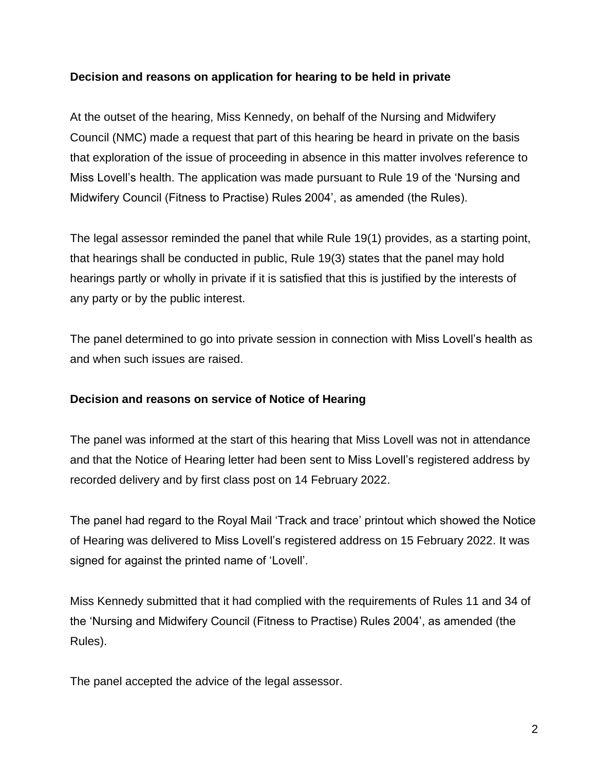### **Decision and reasons on application for hearing to be held in private**

At the outset of the hearing, Miss Kennedy, on behalf of the Nursing and Midwifery Council (NMC) made a request that part of this hearing be heard in private on the basis that exploration of the issue of proceeding in absence in this matter involves reference to Miss Lovell's health. The application was made pursuant to Rule 19 of the 'Nursing and Midwifery Council (Fitness to Practise) Rules 2004', as amended (the Rules).

The legal assessor reminded the panel that while Rule 19(1) provides, as a starting point, that hearings shall be conducted in public, Rule 19(3) states that the panel may hold hearings partly or wholly in private if it is satisfied that this is justified by the interests of any party or by the public interest.

The panel determined to go into private session in connection with Miss Lovell's health as and when such issues are raised.

### **Decision and reasons on service of Notice of Hearing**

The panel was informed at the start of this hearing that Miss Lovell was not in attendance and that the Notice of Hearing letter had been sent to Miss Lovell's registered address by recorded delivery and by first class post on 14 February 2022.

The panel had regard to the Royal Mail 'Track and trace' printout which showed the Notice of Hearing was delivered to Miss Lovell's registered address on 15 February 2022. It was signed for against the printed name of 'Lovell'.

Miss Kennedy submitted that it had complied with the requirements of Rules 11 and 34 of the 'Nursing and Midwifery Council (Fitness to Practise) Rules 2004', as amended (the Rules).

The panel accepted the advice of the legal assessor.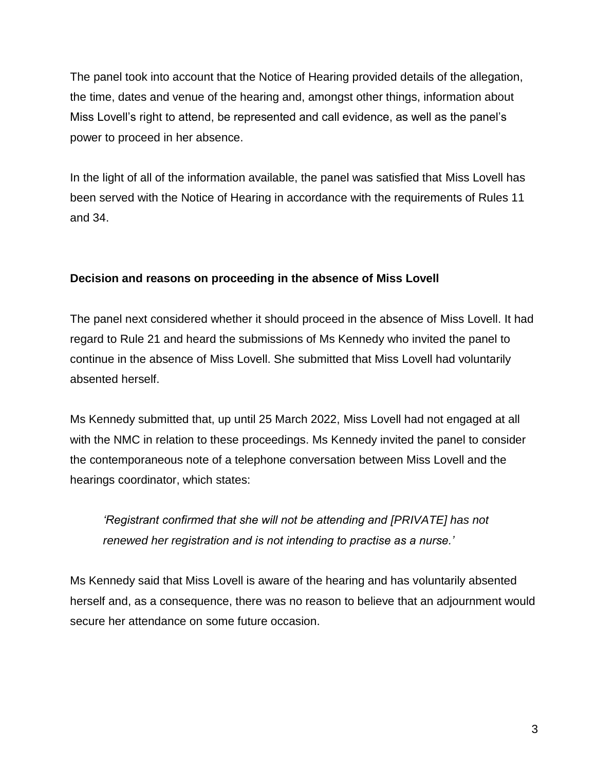The panel took into account that the Notice of Hearing provided details of the allegation, the time, dates and venue of the hearing and, amongst other things, information about Miss Lovell's right to attend, be represented and call evidence, as well as the panel's power to proceed in her absence.

In the light of all of the information available, the panel was satisfied that Miss Lovell has been served with the Notice of Hearing in accordance with the requirements of Rules 11 and 34.

## **Decision and reasons on proceeding in the absence of Miss Lovell**

The panel next considered whether it should proceed in the absence of Miss Lovell. It had regard to Rule 21 and heard the submissions of Ms Kennedy who invited the panel to continue in the absence of Miss Lovell. She submitted that Miss Lovell had voluntarily absented herself.

Ms Kennedy submitted that, up until 25 March 2022, Miss Lovell had not engaged at all with the NMC in relation to these proceedings. Ms Kennedy invited the panel to consider the contemporaneous note of a telephone conversation between Miss Lovell and the hearings coordinator, which states:

*'Registrant confirmed that she will not be attending and [PRIVATE] has not renewed her registration and is not intending to practise as a nurse.'*

Ms Kennedy said that Miss Lovell is aware of the hearing and has voluntarily absented herself and, as a consequence, there was no reason to believe that an adjournment would secure her attendance on some future occasion.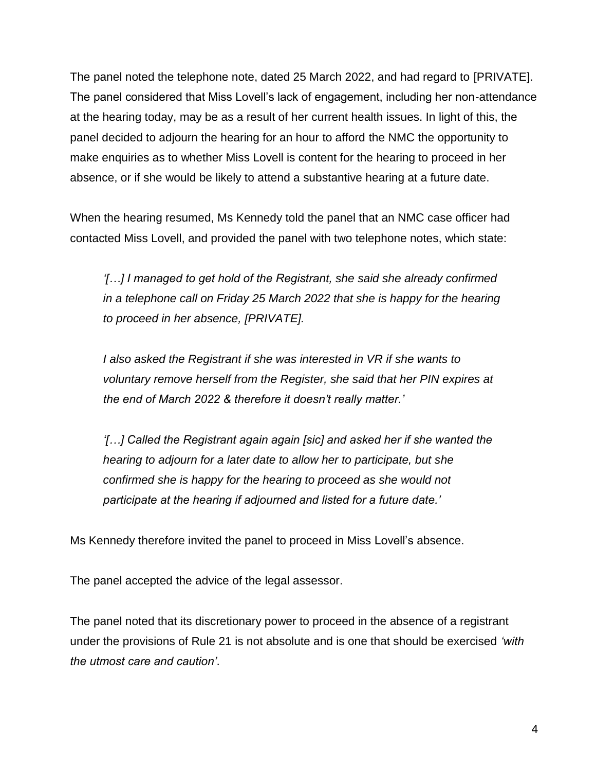The panel noted the telephone note, dated 25 March 2022, and had regard to [PRIVATE]. The panel considered that Miss Lovell's lack of engagement, including her non-attendance at the hearing today, may be as a result of her current health issues. In light of this, the panel decided to adjourn the hearing for an hour to afford the NMC the opportunity to make enquiries as to whether Miss Lovell is content for the hearing to proceed in her absence, or if she would be likely to attend a substantive hearing at a future date.

When the hearing resumed, Ms Kennedy told the panel that an NMC case officer had contacted Miss Lovell, and provided the panel with two telephone notes, which state:

*'[…] I managed to get hold of the Registrant, she said she already confirmed in a telephone call on Friday 25 March 2022 that she is happy for the hearing to proceed in her absence, [PRIVATE].* 

*I also asked the Registrant if she was interested in VR if she wants to voluntary remove herself from the Register, she said that her PIN expires at the end of March 2022 & therefore it doesn't really matter.'*

*'[…] Called the Registrant again again [sic] and asked her if she wanted the hearing to adjourn for a later date to allow her to participate, but she confirmed she is happy for the hearing to proceed as she would not participate at the hearing if adjourned and listed for a future date.'*

Ms Kennedy therefore invited the panel to proceed in Miss Lovell's absence.

The panel accepted the advice of the legal assessor.

The panel noted that its discretionary power to proceed in the absence of a registrant under the provisions of Rule 21 is not absolute and is one that should be exercised *'with the utmost care and caution'*.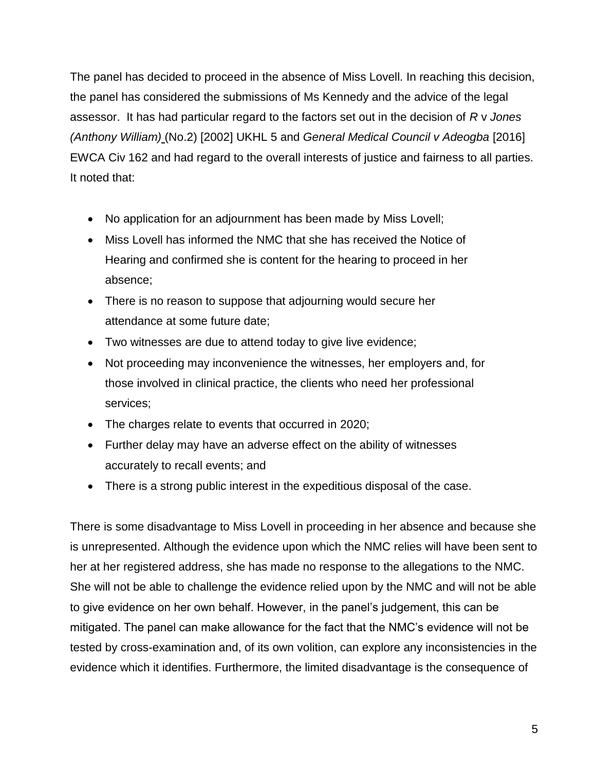The panel has decided to proceed in the absence of Miss Lovell. In reaching this decision, the panel has considered the submissions of Ms Kennedy and the advice of the legal assessor. It has had particular regard to the factors set out in the decision of *R* v *Jones (Anthony William)* (No.2) [2002] UKHL 5 and *General Medical Council v Adeogba* [2016] EWCA Civ 162 and had regard to the overall interests of justice and fairness to all parties. It noted that:

- No application for an adjournment has been made by Miss Lovell;
- Miss Lovell has informed the NMC that she has received the Notice of Hearing and confirmed she is content for the hearing to proceed in her absence;
- There is no reason to suppose that adjourning would secure her attendance at some future date;
- Two witnesses are due to attend today to give live evidence;
- Not proceeding may inconvenience the witnesses, her employers and, for those involved in clinical practice, the clients who need her professional services;
- The charges relate to events that occurred in 2020;
- Further delay may have an adverse effect on the ability of witnesses accurately to recall events; and
- There is a strong public interest in the expeditious disposal of the case.

There is some disadvantage to Miss Lovell in proceeding in her absence and because she is unrepresented. Although the evidence upon which the NMC relies will have been sent to her at her registered address, she has made no response to the allegations to the NMC. She will not be able to challenge the evidence relied upon by the NMC and will not be able to give evidence on her own behalf. However, in the panel's judgement, this can be mitigated. The panel can make allowance for the fact that the NMC's evidence will not be tested by cross-examination and, of its own volition, can explore any inconsistencies in the evidence which it identifies. Furthermore, the limited disadvantage is the consequence of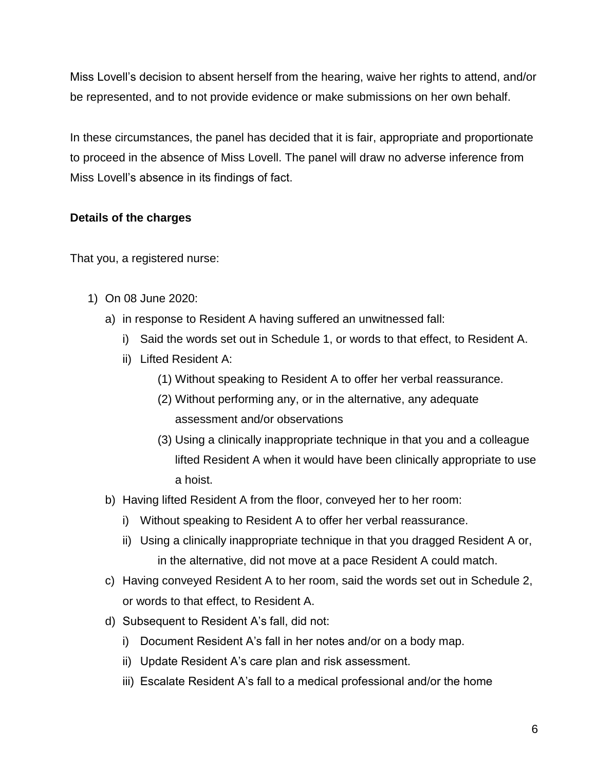Miss Lovell's decision to absent herself from the hearing, waive her rights to attend, and/or be represented, and to not provide evidence or make submissions on her own behalf.

In these circumstances, the panel has decided that it is fair, appropriate and proportionate to proceed in the absence of Miss Lovell. The panel will draw no adverse inference from Miss Lovell's absence in its findings of fact.

## **Details of the charges**

That you, a registered nurse:

- 1) On 08 June 2020:
	- a) in response to Resident A having suffered an unwitnessed fall:
		- i) Said the words set out in Schedule 1, or words to that effect, to Resident A.
		- ii) Lifted Resident A:
			- (1) Without speaking to Resident A to offer her verbal reassurance.
			- (2) Without performing any, or in the alternative, any adequate assessment and/or observations
			- (3) Using a clinically inappropriate technique in that you and a colleague lifted Resident A when it would have been clinically appropriate to use a hoist.
	- b) Having lifted Resident A from the floor, conveyed her to her room:
		- i) Without speaking to Resident A to offer her verbal reassurance.
		- ii) Using a clinically inappropriate technique in that you dragged Resident A or, in the alternative, did not move at a pace Resident A could match.
	- c) Having conveyed Resident A to her room, said the words set out in Schedule 2, or words to that effect, to Resident A.
	- d) Subsequent to Resident A's fall, did not:
		- i) Document Resident A's fall in her notes and/or on a body map.
		- ii) Update Resident A's care plan and risk assessment.
		- iii) Escalate Resident A's fall to a medical professional and/or the home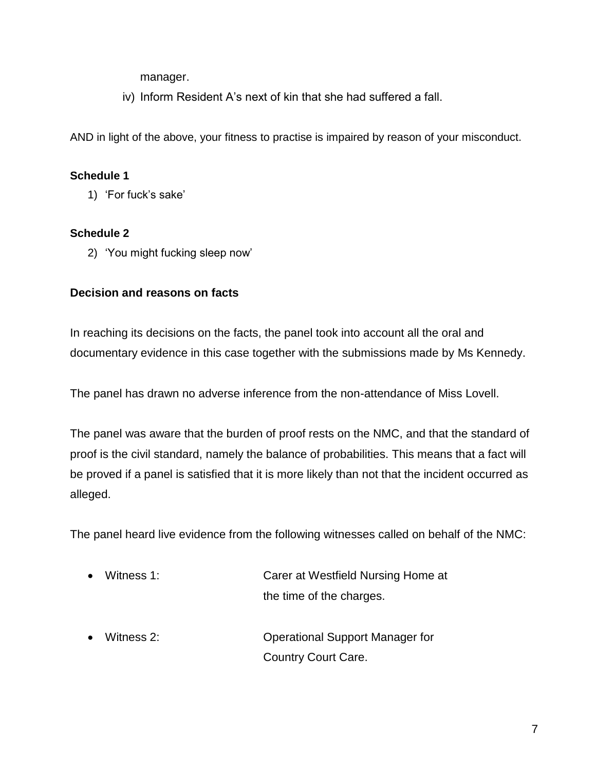manager.

iv) Inform Resident A's next of kin that she had suffered a fall.

AND in light of the above, your fitness to practise is impaired by reason of your misconduct.

## **Schedule 1**

1) 'For fuck's sake'

## **Schedule 2**

2) 'You might fucking sleep now'

## **Decision and reasons on facts**

In reaching its decisions on the facts, the panel took into account all the oral and documentary evidence in this case together with the submissions made by Ms Kennedy.

The panel has drawn no adverse inference from the non-attendance of Miss Lovell.

The panel was aware that the burden of proof rests on the NMC, and that the standard of proof is the civil standard, namely the balance of probabilities. This means that a fact will be proved if a panel is satisfied that it is more likely than not that the incident occurred as alleged.

The panel heard live evidence from the following witnesses called on behalf of the NMC:

- Witness 1: Carer at Westfield Nursing Home at the time of the charges.
- Witness 2: Operational Support Manager for Country Court Care.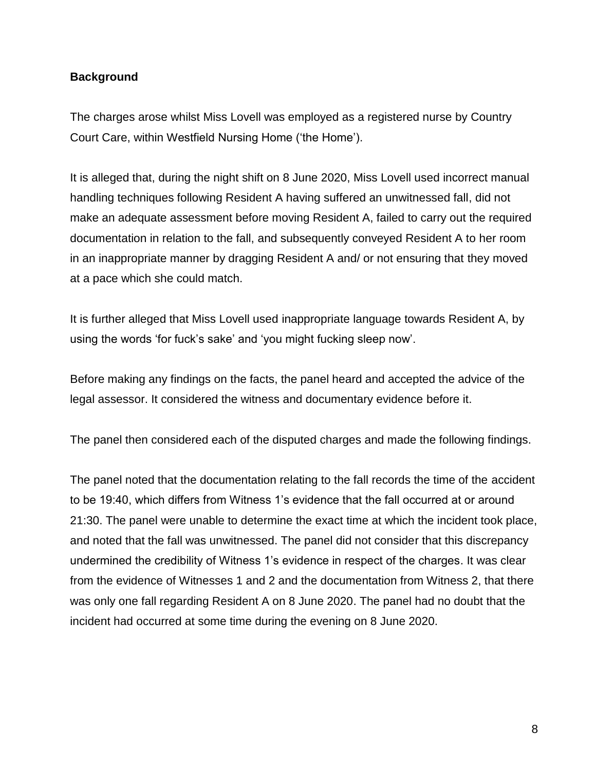### **Background**

The charges arose whilst Miss Lovell was employed as a registered nurse by Country Court Care, within Westfield Nursing Home ('the Home').

It is alleged that, during the night shift on 8 June 2020, Miss Lovell used incorrect manual handling techniques following Resident A having suffered an unwitnessed fall, did not make an adequate assessment before moving Resident A, failed to carry out the required documentation in relation to the fall, and subsequently conveyed Resident A to her room in an inappropriate manner by dragging Resident A and/ or not ensuring that they moved at a pace which she could match.

It is further alleged that Miss Lovell used inappropriate language towards Resident A, by using the words 'for fuck's sake' and 'you might fucking sleep now'.

Before making any findings on the facts, the panel heard and accepted the advice of the legal assessor. It considered the witness and documentary evidence before it.

The panel then considered each of the disputed charges and made the following findings.

The panel noted that the documentation relating to the fall records the time of the accident to be 19:40, which differs from Witness 1's evidence that the fall occurred at or around 21:30. The panel were unable to determine the exact time at which the incident took place, and noted that the fall was unwitnessed. The panel did not consider that this discrepancy undermined the credibility of Witness 1's evidence in respect of the charges. It was clear from the evidence of Witnesses 1 and 2 and the documentation from Witness 2, that there was only one fall regarding Resident A on 8 June 2020. The panel had no doubt that the incident had occurred at some time during the evening on 8 June 2020.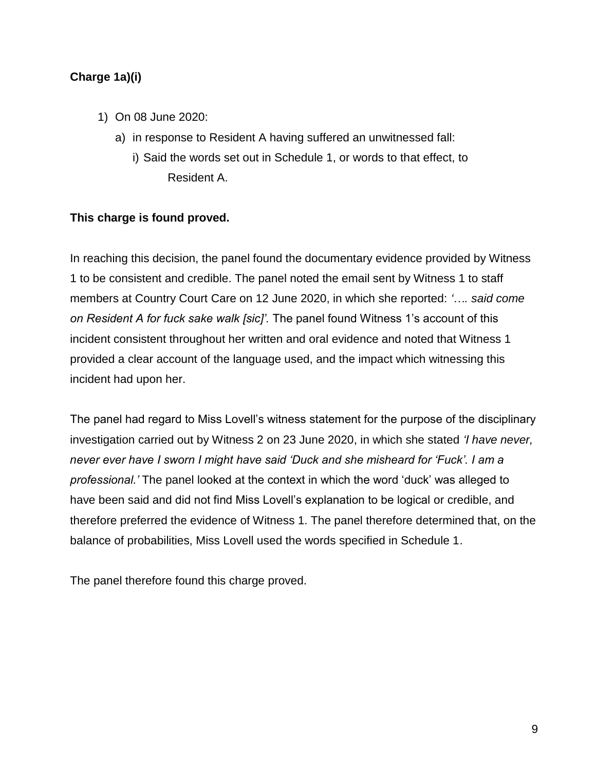## **Charge 1a)(i)**

- 1) On 08 June 2020:
	- a) in response to Resident A having suffered an unwitnessed fall:
		- i) Said the words set out in Schedule 1, or words to that effect, to Resident A.

### **This charge is found proved.**

In reaching this decision, the panel found the documentary evidence provided by Witness 1 to be consistent and credible. The panel noted the email sent by Witness 1 to staff members at Country Court Care on 12 June 2020, in which she reported: *'…. said come on Resident A for fuck sake walk [sic]'.* The panel found Witness 1's account of this incident consistent throughout her written and oral evidence and noted that Witness 1 provided a clear account of the language used, and the impact which witnessing this incident had upon her.

The panel had regard to Miss Lovell's witness statement for the purpose of the disciplinary investigation carried out by Witness 2 on 23 June 2020, in which she stated *'I have never, never ever have I sworn I might have said 'Duck and she misheard for 'Fuck'. I am a professional.'* The panel looked at the context in which the word 'duck' was alleged to have been said and did not find Miss Lovell's explanation to be logical or credible, and therefore preferred the evidence of Witness 1. The panel therefore determined that, on the balance of probabilities, Miss Lovell used the words specified in Schedule 1.

The panel therefore found this charge proved.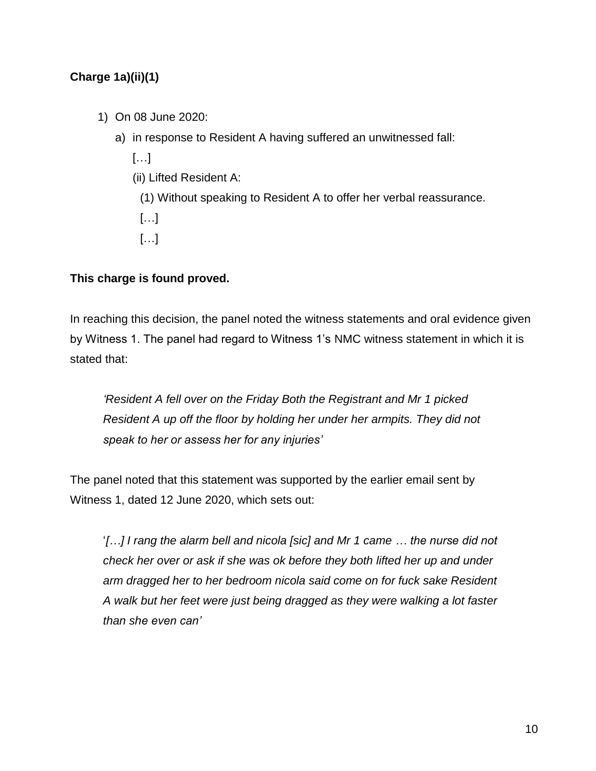# **Charge 1a)(ii)(1)**

- 1) On 08 June 2020:
	- a) in response to Resident A having suffered an unwitnessed fall:
		- […]
		- (ii) Lifted Resident A:
		- (1) Without speaking to Resident A to offer her verbal reassurance.
		- […]
		- […]

# **This charge is found proved.**

In reaching this decision, the panel noted the witness statements and oral evidence given by Witness 1. The panel had regard to Witness 1's NMC witness statement in which it is stated that:

*'Resident A fell over on the Friday Both the Registrant and Mr 1 picked Resident A up off the floor by holding her under her armpits. They did not speak to her or assess her for any injuries'* 

The panel noted that this statement was supported by the earlier email sent by Witness 1, dated 12 June 2020, which sets out:

'*[…] I rang the alarm bell and nicola [sic] and Mr 1 came … the nurse did not check her over or ask if she was ok before they both lifted her up and under arm dragged her to her bedroom nicola said come on for fuck sake Resident A walk but her feet were just being dragged as they were walking a lot faster than she even can'*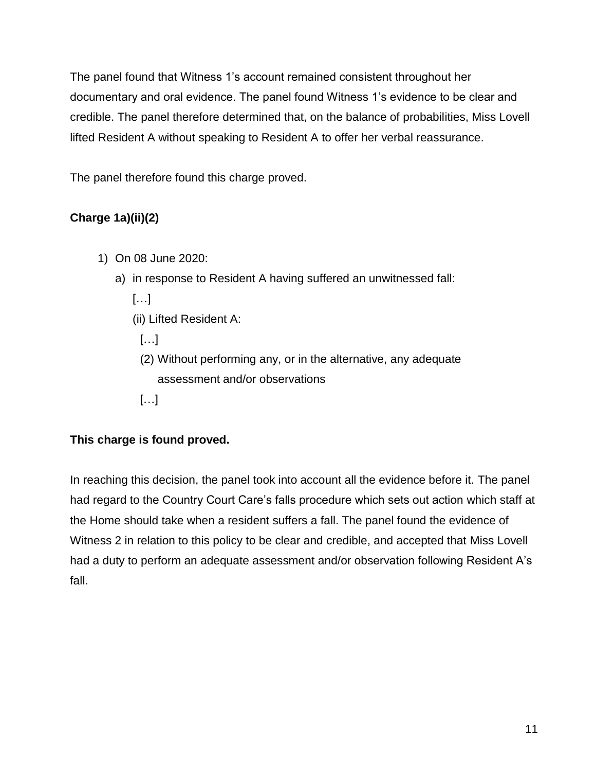The panel found that Witness 1's account remained consistent throughout her documentary and oral evidence. The panel found Witness 1's evidence to be clear and credible. The panel therefore determined that, on the balance of probabilities, Miss Lovell lifted Resident A without speaking to Resident A to offer her verbal reassurance.

The panel therefore found this charge proved.

# **Charge 1a)(ii)(2)**

- 1) On 08 June 2020:
	- a) in response to Resident A having suffered an unwitnessed fall:

[…]

(ii) Lifted Resident A:

[…]

- (2) Without performing any, or in the alternative, any adequate assessment and/or observations
- […]

# **This charge is found proved.**

In reaching this decision, the panel took into account all the evidence before it. The panel had regard to the Country Court Care's falls procedure which sets out action which staff at the Home should take when a resident suffers a fall. The panel found the evidence of Witness 2 in relation to this policy to be clear and credible, and accepted that Miss Lovell had a duty to perform an adequate assessment and/or observation following Resident A's fall.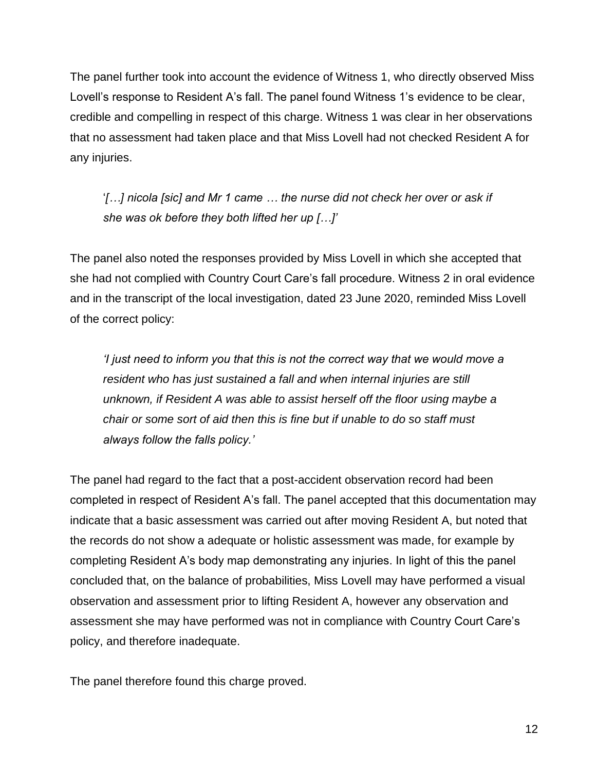The panel further took into account the evidence of Witness 1, who directly observed Miss Lovell's response to Resident A's fall. The panel found Witness 1's evidence to be clear, credible and compelling in respect of this charge. Witness 1 was clear in her observations that no assessment had taken place and that Miss Lovell had not checked Resident A for any injuries.

'*[…] nicola [sic] and Mr 1 came … the nurse did not check her over or ask if she was ok before they both lifted her up […]'*

The panel also noted the responses provided by Miss Lovell in which she accepted that she had not complied with Country Court Care's fall procedure. Witness 2 in oral evidence and in the transcript of the local investigation, dated 23 June 2020, reminded Miss Lovell of the correct policy:

*'I just need to inform you that this is not the correct way that we would move a resident who has just sustained a fall and when internal injuries are still unknown, if Resident A was able to assist herself off the floor using maybe a chair or some sort of aid then this is fine but if unable to do so staff must always follow the falls policy.'*

The panel had regard to the fact that a post-accident observation record had been completed in respect of Resident A's fall. The panel accepted that this documentation may indicate that a basic assessment was carried out after moving Resident A, but noted that the records do not show a adequate or holistic assessment was made, for example by completing Resident A's body map demonstrating any injuries. In light of this the panel concluded that, on the balance of probabilities, Miss Lovell may have performed a visual observation and assessment prior to lifting Resident A, however any observation and assessment she may have performed was not in compliance with Country Court Care's policy, and therefore inadequate.

The panel therefore found this charge proved.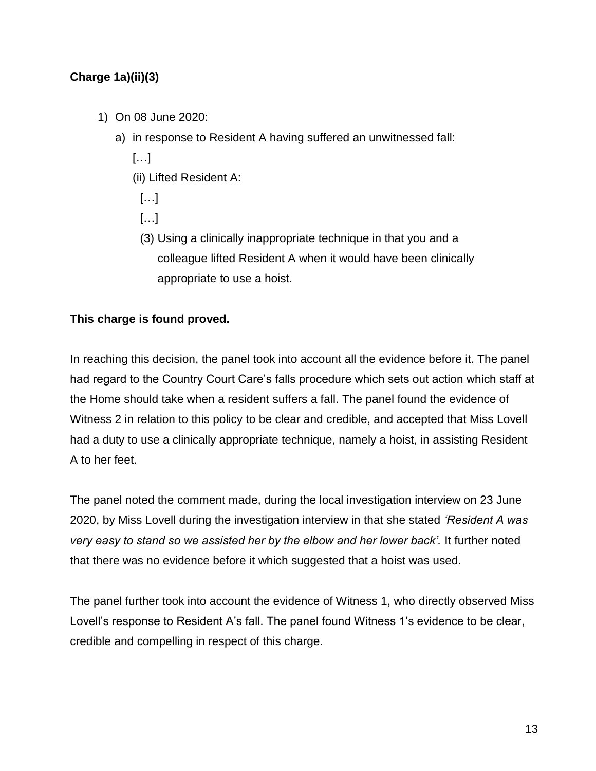# **Charge 1a)(ii)(3)**

- 1) On 08 June 2020:
	- a) in response to Resident A having suffered an unwitnessed fall:

[…]

- (ii) Lifted Resident A:
	- […]
	- […]
	- (3) Using a clinically inappropriate technique in that you and a colleague lifted Resident A when it would have been clinically appropriate to use a hoist.

## **This charge is found proved.**

In reaching this decision, the panel took into account all the evidence before it. The panel had regard to the Country Court Care's falls procedure which sets out action which staff at the Home should take when a resident suffers a fall. The panel found the evidence of Witness 2 in relation to this policy to be clear and credible, and accepted that Miss Lovell had a duty to use a clinically appropriate technique, namely a hoist, in assisting Resident A to her feet.

The panel noted the comment made, during the local investigation interview on 23 June 2020, by Miss Lovell during the investigation interview in that she stated *'Resident A was very easy to stand so we assisted her by the elbow and her lower back'.* It further noted that there was no evidence before it which suggested that a hoist was used.

The panel further took into account the evidence of Witness 1, who directly observed Miss Lovell's response to Resident A's fall. The panel found Witness 1's evidence to be clear, credible and compelling in respect of this charge.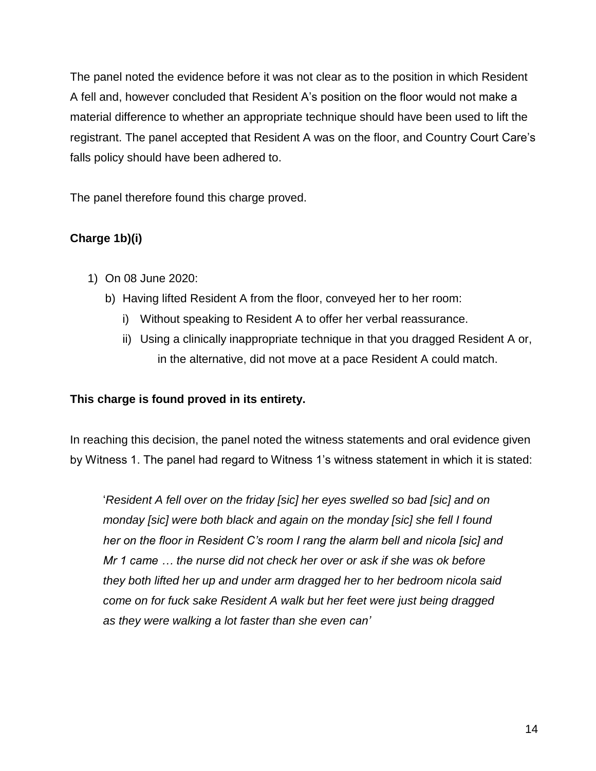The panel noted the evidence before it was not clear as to the position in which Resident A fell and, however concluded that Resident A's position on the floor would not make a material difference to whether an appropriate technique should have been used to lift the registrant. The panel accepted that Resident A was on the floor, and Country Court Care's falls policy should have been adhered to.

The panel therefore found this charge proved.

# **Charge 1b)(i)**

- 1) On 08 June 2020:
	- b) Having lifted Resident A from the floor, conveyed her to her room:
		- i) Without speaking to Resident A to offer her verbal reassurance.
		- ii) Using a clinically inappropriate technique in that you dragged Resident A or, in the alternative, did not move at a pace Resident A could match.

# **This charge is found proved in its entirety.**

In reaching this decision, the panel noted the witness statements and oral evidence given by Witness 1. The panel had regard to Witness 1's witness statement in which it is stated:

'*Resident A fell over on the friday [sic] her eyes swelled so bad [sic] and on monday [sic] were both black and again on the monday [sic] she fell I found her on the floor in Resident C's room I rang the alarm bell and nicola [sic] and Mr 1 came … the nurse did not check her over or ask if she was ok before they both lifted her up and under arm dragged her to her bedroom nicola said come on for fuck sake Resident A walk but her feet were just being dragged as they were walking a lot faster than she even can'*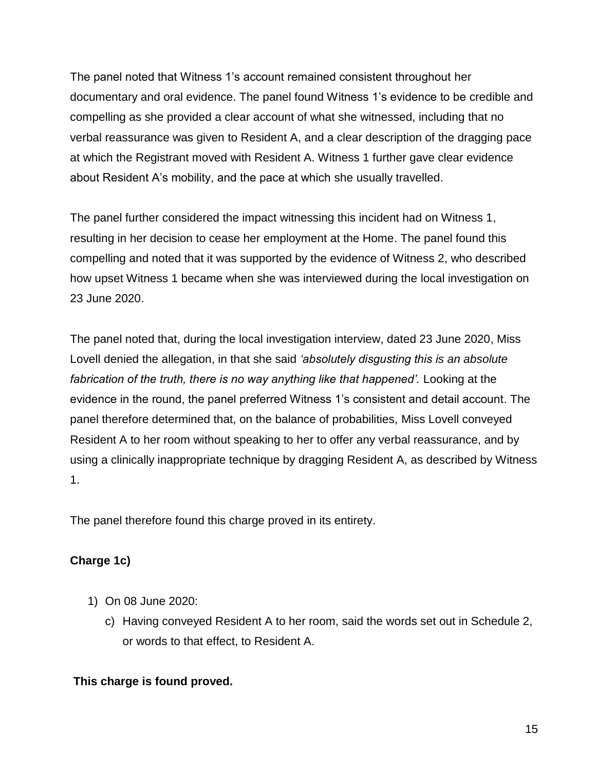The panel noted that Witness 1's account remained consistent throughout her documentary and oral evidence. The panel found Witness 1's evidence to be credible and compelling as she provided a clear account of what she witnessed, including that no verbal reassurance was given to Resident A, and a clear description of the dragging pace at which the Registrant moved with Resident A. Witness 1 further gave clear evidence about Resident A's mobility, and the pace at which she usually travelled.

The panel further considered the impact witnessing this incident had on Witness 1, resulting in her decision to cease her employment at the Home. The panel found this compelling and noted that it was supported by the evidence of Witness 2, who described how upset Witness 1 became when she was interviewed during the local investigation on 23 June 2020.

The panel noted that, during the local investigation interview, dated 23 June 2020, Miss Lovell denied the allegation, in that she said *'absolutely disgusting this is an absolute*  fabrication of the truth, there is no way anything like that happened'. Looking at the evidence in the round, the panel preferred Witness 1's consistent and detail account. The panel therefore determined that, on the balance of probabilities, Miss Lovell conveyed Resident A to her room without speaking to her to offer any verbal reassurance, and by using a clinically inappropriate technique by dragging Resident A, as described by Witness 1.

The panel therefore found this charge proved in its entirety.

# **Charge 1c)**

- 1) On 08 June 2020:
	- c) Having conveyed Resident A to her room, said the words set out in Schedule 2, or words to that effect, to Resident A.

# **This charge is found proved.**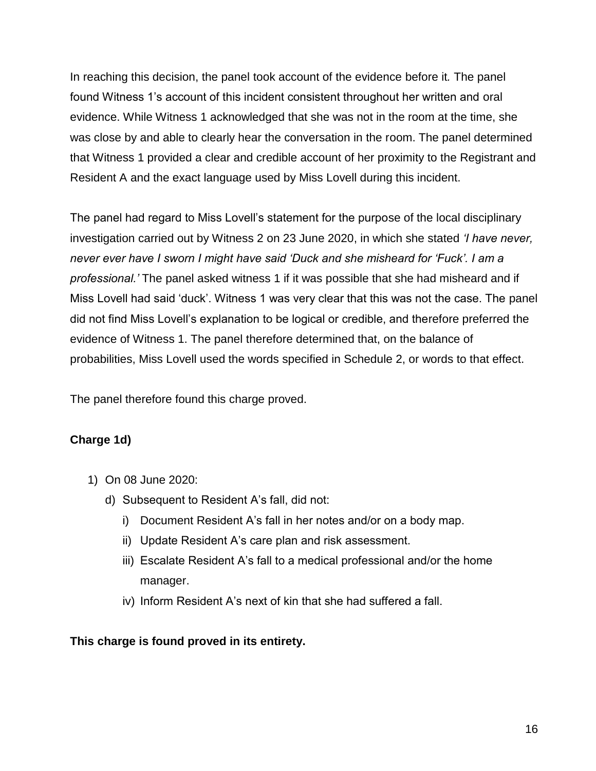In reaching this decision, the panel took account of the evidence before it*.* The panel found Witness 1's account of this incident consistent throughout her written and oral evidence. While Witness 1 acknowledged that she was not in the room at the time, she was close by and able to clearly hear the conversation in the room. The panel determined that Witness 1 provided a clear and credible account of her proximity to the Registrant and Resident A and the exact language used by Miss Lovell during this incident.

The panel had regard to Miss Lovell's statement for the purpose of the local disciplinary investigation carried out by Witness 2 on 23 June 2020, in which she stated *'I have never, never ever have I sworn I might have said 'Duck and she misheard for 'Fuck'. I am a professional.'* The panel asked witness 1 if it was possible that she had misheard and if Miss Lovell had said 'duck'. Witness 1 was very clear that this was not the case. The panel did not find Miss Lovell's explanation to be logical or credible, and therefore preferred the evidence of Witness 1. The panel therefore determined that, on the balance of probabilities, Miss Lovell used the words specified in Schedule 2, or words to that effect.

The panel therefore found this charge proved.

### **Charge 1d)**

- 1) On 08 June 2020:
	- d) Subsequent to Resident A's fall, did not:
		- i) Document Resident A's fall in her notes and/or on a body map.
		- ii) Update Resident A's care plan and risk assessment.
		- iii) Escalate Resident A's fall to a medical professional and/or the home manager.
		- iv) Inform Resident A's next of kin that she had suffered a fall.

### **This charge is found proved in its entirety.**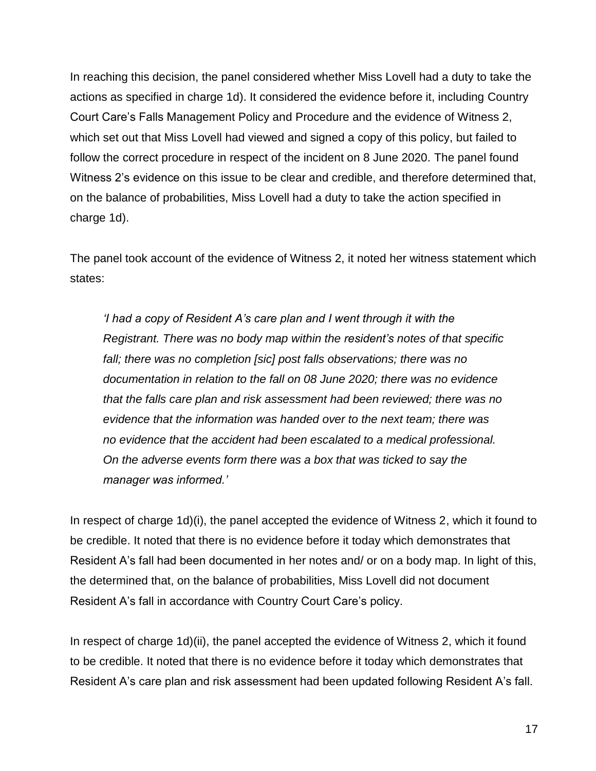In reaching this decision, the panel considered whether Miss Lovell had a duty to take the actions as specified in charge 1d). It considered the evidence before it, including Country Court Care's Falls Management Policy and Procedure and the evidence of Witness 2, which set out that Miss Lovell had viewed and signed a copy of this policy, but failed to follow the correct procedure in respect of the incident on 8 June 2020. The panel found Witness 2's evidence on this issue to be clear and credible, and therefore determined that, on the balance of probabilities, Miss Lovell had a duty to take the action specified in charge 1d).

The panel took account of the evidence of Witness 2, it noted her witness statement which states:

*'I had a copy of Resident A's care plan and I went through it with the Registrant. There was no body map within the resident's notes of that specific fall; there was no completion [sic] post falls observations; there was no documentation in relation to the fall on 08 June 2020; there was no evidence that the falls care plan and risk assessment had been reviewed; there was no evidence that the information was handed over to the next team; there was no evidence that the accident had been escalated to a medical professional. On the adverse events form there was a box that was ticked to say the manager was informed.'*

In respect of charge 1d)(i), the panel accepted the evidence of Witness 2, which it found to be credible. It noted that there is no evidence before it today which demonstrates that Resident A's fall had been documented in her notes and/ or on a body map. In light of this, the determined that, on the balance of probabilities, Miss Lovell did not document Resident A's fall in accordance with Country Court Care's policy.

In respect of charge 1d)(ii), the panel accepted the evidence of Witness 2, which it found to be credible. It noted that there is no evidence before it today which demonstrates that Resident A's care plan and risk assessment had been updated following Resident A's fall.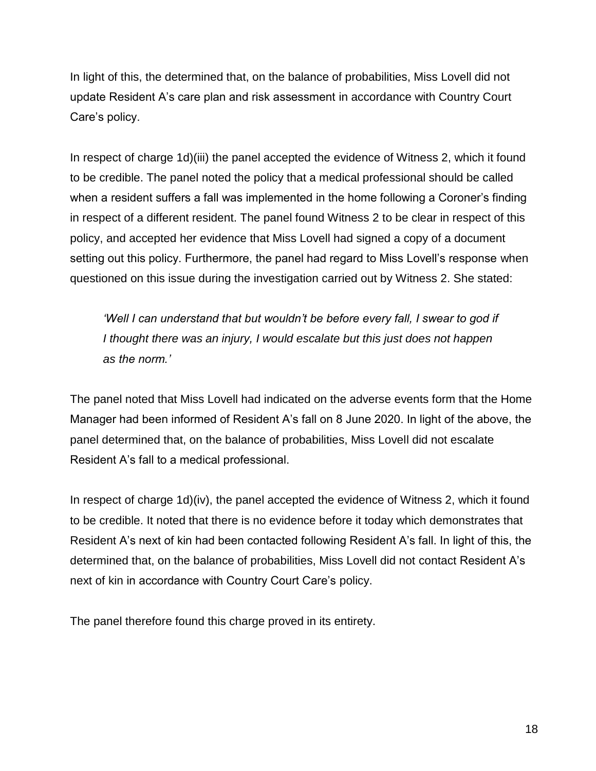In light of this, the determined that, on the balance of probabilities, Miss Lovell did not update Resident A's care plan and risk assessment in accordance with Country Court Care's policy.

In respect of charge 1d)(iii) the panel accepted the evidence of Witness 2, which it found to be credible. The panel noted the policy that a medical professional should be called when a resident suffers a fall was implemented in the home following a Coroner's finding in respect of a different resident. The panel found Witness 2 to be clear in respect of this policy, and accepted her evidence that Miss Lovell had signed a copy of a document setting out this policy. Furthermore, the panel had regard to Miss Lovell's response when questioned on this issue during the investigation carried out by Witness 2. She stated:

*'Well I can understand that but wouldn't be before every fall, I swear to god if I thought there was an injury, I would escalate but this just does not happen as the norm.'*

The panel noted that Miss Lovell had indicated on the adverse events form that the Home Manager had been informed of Resident A's fall on 8 June 2020. In light of the above, the panel determined that, on the balance of probabilities, Miss Lovell did not escalate Resident A's fall to a medical professional.

In respect of charge 1d)(iv), the panel accepted the evidence of Witness 2, which it found to be credible. It noted that there is no evidence before it today which demonstrates that Resident A's next of kin had been contacted following Resident A's fall. In light of this, the determined that, on the balance of probabilities, Miss Lovell did not contact Resident A's next of kin in accordance with Country Court Care's policy.

The panel therefore found this charge proved in its entirety.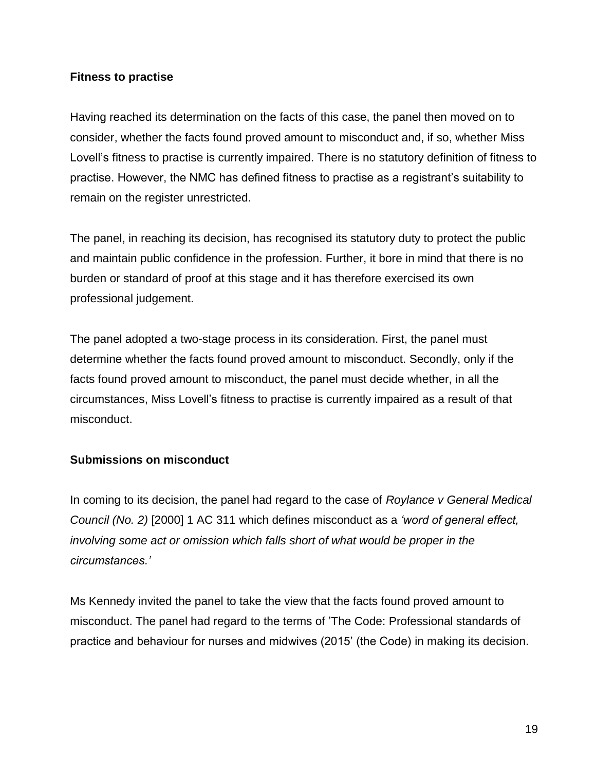### **Fitness to practise**

Having reached its determination on the facts of this case, the panel then moved on to consider, whether the facts found proved amount to misconduct and, if so, whether Miss Lovell's fitness to practise is currently impaired. There is no statutory definition of fitness to practise. However, the NMC has defined fitness to practise as a registrant's suitability to remain on the register unrestricted.

The panel, in reaching its decision, has recognised its statutory duty to protect the public and maintain public confidence in the profession. Further, it bore in mind that there is no burden or standard of proof at this stage and it has therefore exercised its own professional judgement.

The panel adopted a two-stage process in its consideration. First, the panel must determine whether the facts found proved amount to misconduct. Secondly, only if the facts found proved amount to misconduct, the panel must decide whether, in all the circumstances, Miss Lovell's fitness to practise is currently impaired as a result of that misconduct.

### **Submissions on misconduct**

In coming to its decision, the panel had regard to the case of *Roylance v General Medical Council (No. 2)* [2000] 1 AC 311 which defines misconduct as a *'word of general effect, involving some act or omission which falls short of what would be proper in the circumstances.'*

Ms Kennedy invited the panel to take the view that the facts found proved amount to misconduct. The panel had regard to the terms of 'The Code: Professional standards of practice and behaviour for nurses and midwives (2015' (the Code) in making its decision.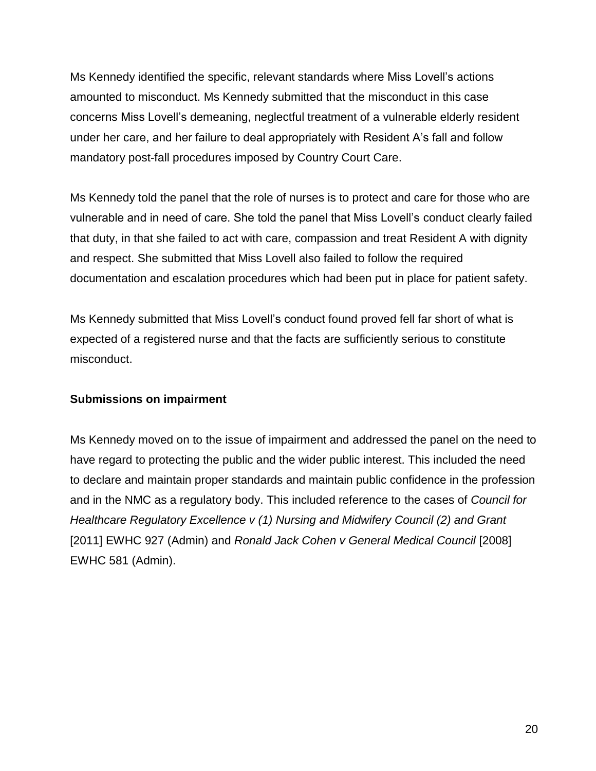Ms Kennedy identified the specific, relevant standards where Miss Lovell's actions amounted to misconduct. Ms Kennedy submitted that the misconduct in this case concerns Miss Lovell's demeaning, neglectful treatment of a vulnerable elderly resident under her care, and her failure to deal appropriately with Resident A's fall and follow mandatory post-fall procedures imposed by Country Court Care.

Ms Kennedy told the panel that the role of nurses is to protect and care for those who are vulnerable and in need of care. She told the panel that Miss Lovell's conduct clearly failed that duty, in that she failed to act with care, compassion and treat Resident A with dignity and respect. She submitted that Miss Lovell also failed to follow the required documentation and escalation procedures which had been put in place for patient safety.

Ms Kennedy submitted that Miss Lovell's conduct found proved fell far short of what is expected of a registered nurse and that the facts are sufficiently serious to constitute misconduct.

### **Submissions on impairment**

Ms Kennedy moved on to the issue of impairment and addressed the panel on the need to have regard to protecting the public and the wider public interest. This included the need to declare and maintain proper standards and maintain public confidence in the profession and in the NMC as a regulatory body. This included reference to the cases of *Council for Healthcare Regulatory Excellence v (1) Nursing and Midwifery Council (2) and Grant*  [2011] EWHC 927 (Admin) and *Ronald Jack Cohen v General Medical Council* [2008] EWHC 581 (Admin).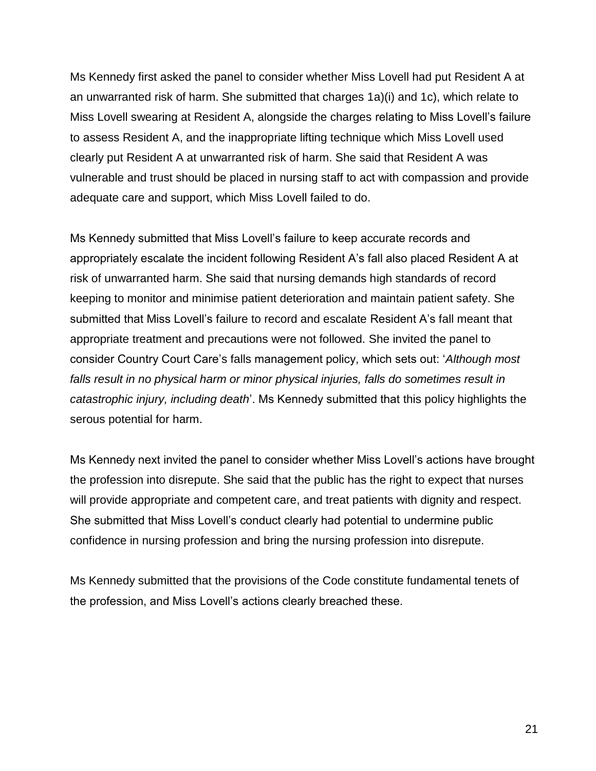Ms Kennedy first asked the panel to consider whether Miss Lovell had put Resident A at an unwarranted risk of harm. She submitted that charges 1a)(i) and 1c), which relate to Miss Lovell swearing at Resident A, alongside the charges relating to Miss Lovell's failure to assess Resident A, and the inappropriate lifting technique which Miss Lovell used clearly put Resident A at unwarranted risk of harm. She said that Resident A was vulnerable and trust should be placed in nursing staff to act with compassion and provide adequate care and support, which Miss Lovell failed to do.

Ms Kennedy submitted that Miss Lovell's failure to keep accurate records and appropriately escalate the incident following Resident A's fall also placed Resident A at risk of unwarranted harm. She said that nursing demands high standards of record keeping to monitor and minimise patient deterioration and maintain patient safety. She submitted that Miss Lovell's failure to record and escalate Resident A's fall meant that appropriate treatment and precautions were not followed. She invited the panel to consider Country Court Care's falls management policy, which sets out: '*Although most falls result in no physical harm or minor physical injuries, falls do sometimes result in catastrophic injury, including death*'. Ms Kennedy submitted that this policy highlights the serous potential for harm.

Ms Kennedy next invited the panel to consider whether Miss Lovell's actions have brought the profession into disrepute. She said that the public has the right to expect that nurses will provide appropriate and competent care, and treat patients with dignity and respect. She submitted that Miss Lovell's conduct clearly had potential to undermine public confidence in nursing profession and bring the nursing profession into disrepute.

Ms Kennedy submitted that the provisions of the Code constitute fundamental tenets of the profession, and Miss Lovell's actions clearly breached these.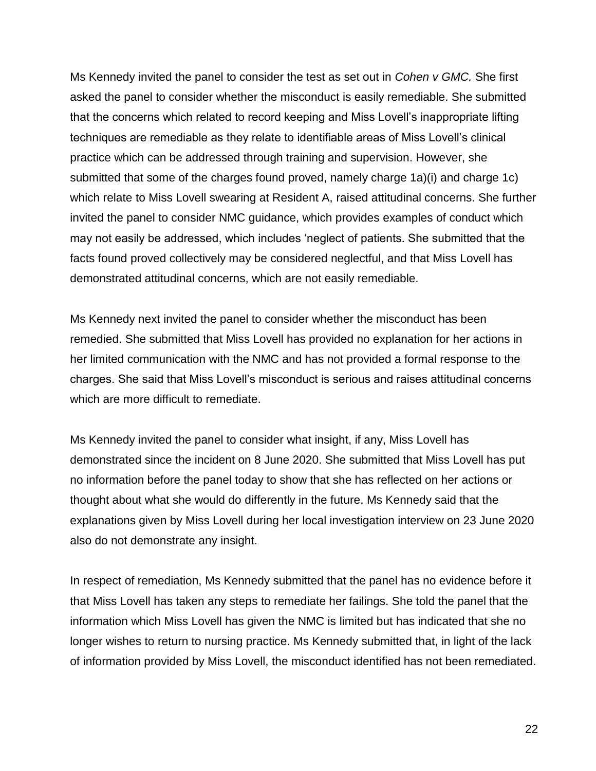Ms Kennedy invited the panel to consider the test as set out in *Cohen v GMC.* She first asked the panel to consider whether the misconduct is easily remediable. She submitted that the concerns which related to record keeping and Miss Lovell's inappropriate lifting techniques are remediable as they relate to identifiable areas of Miss Lovell's clinical practice which can be addressed through training and supervision. However, she submitted that some of the charges found proved, namely charge 1a)(i) and charge 1c) which relate to Miss Lovell swearing at Resident A, raised attitudinal concerns. She further invited the panel to consider NMC guidance, which provides examples of conduct which may not easily be addressed, which includes 'neglect of patients. She submitted that the facts found proved collectively may be considered neglectful, and that Miss Lovell has demonstrated attitudinal concerns, which are not easily remediable.

Ms Kennedy next invited the panel to consider whether the misconduct has been remedied. She submitted that Miss Lovell has provided no explanation for her actions in her limited communication with the NMC and has not provided a formal response to the charges. She said that Miss Lovell's misconduct is serious and raises attitudinal concerns which are more difficult to remediate.

Ms Kennedy invited the panel to consider what insight, if any, Miss Lovell has demonstrated since the incident on 8 June 2020. She submitted that Miss Lovell has put no information before the panel today to show that she has reflected on her actions or thought about what she would do differently in the future. Ms Kennedy said that the explanations given by Miss Lovell during her local investigation interview on 23 June 2020 also do not demonstrate any insight.

In respect of remediation, Ms Kennedy submitted that the panel has no evidence before it that Miss Lovell has taken any steps to remediate her failings. She told the panel that the information which Miss Lovell has given the NMC is limited but has indicated that she no longer wishes to return to nursing practice. Ms Kennedy submitted that, in light of the lack of information provided by Miss Lovell, the misconduct identified has not been remediated.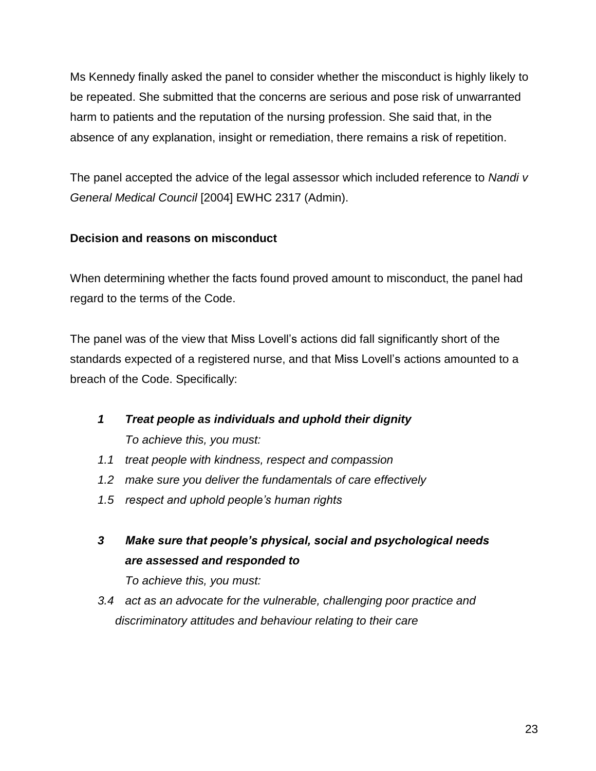Ms Kennedy finally asked the panel to consider whether the misconduct is highly likely to be repeated. She submitted that the concerns are serious and pose risk of unwarranted harm to patients and the reputation of the nursing profession. She said that, in the absence of any explanation, insight or remediation, there remains a risk of repetition.

The panel accepted the advice of the legal assessor which included reference to *Nandi v General Medical Council* [2004] EWHC 2317 (Admin).

# **Decision and reasons on misconduct**

When determining whether the facts found proved amount to misconduct, the panel had regard to the terms of the Code.

The panel was of the view that Miss Lovell's actions did fall significantly short of the standards expected of a registered nurse, and that Miss Lovell's actions amounted to a breach of the Code. Specifically:

- *1 Treat people as individuals and uphold their dignity To achieve this, you must:*
- *1.1 treat people with kindness, respect and compassion*
- *1.2 make sure you deliver the fundamentals of care effectively*
- *1.5 respect and uphold people's human rights*
- *3 Make sure that people's physical, social and psychological needs are assessed and responded to*

*To achieve this, you must:* 

*3.4 act as an advocate for the vulnerable, challenging poor practice and discriminatory attitudes and behaviour relating to their care*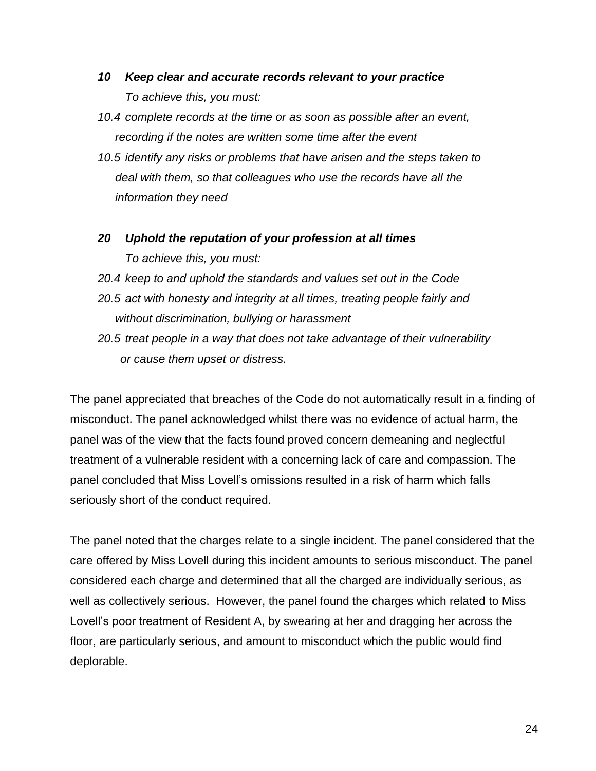- *10 Keep clear and accurate records relevant to your practice To achieve this, you must:*
- *10.4 complete records at the time or as soon as possible after an event, recording if the notes are written some time after the event*
- *10.5 identify any risks or problems that have arisen and the steps taken to deal with them, so that colleagues who use the records have all the information they need*
- *20 Uphold the reputation of your profession at all times To achieve this, you must:*
- *20.4 keep to and uphold the standards and values set out in the Code*
- *20.5 act with honesty and integrity at all times, treating people fairly and without discrimination, bullying or harassment*
- *20.5 treat people in a way that does not take advantage of their vulnerability or cause them upset or distress.*

The panel appreciated that breaches of the Code do not automatically result in a finding of misconduct. The panel acknowledged whilst there was no evidence of actual harm, the panel was of the view that the facts found proved concern demeaning and neglectful treatment of a vulnerable resident with a concerning lack of care and compassion. The panel concluded that Miss Lovell's omissions resulted in a risk of harm which falls seriously short of the conduct required.

The panel noted that the charges relate to a single incident. The panel considered that the care offered by Miss Lovell during this incident amounts to serious misconduct. The panel considered each charge and determined that all the charged are individually serious, as well as collectively serious. However, the panel found the charges which related to Miss Lovell's poor treatment of Resident A, by swearing at her and dragging her across the floor, are particularly serious, and amount to misconduct which the public would find deplorable.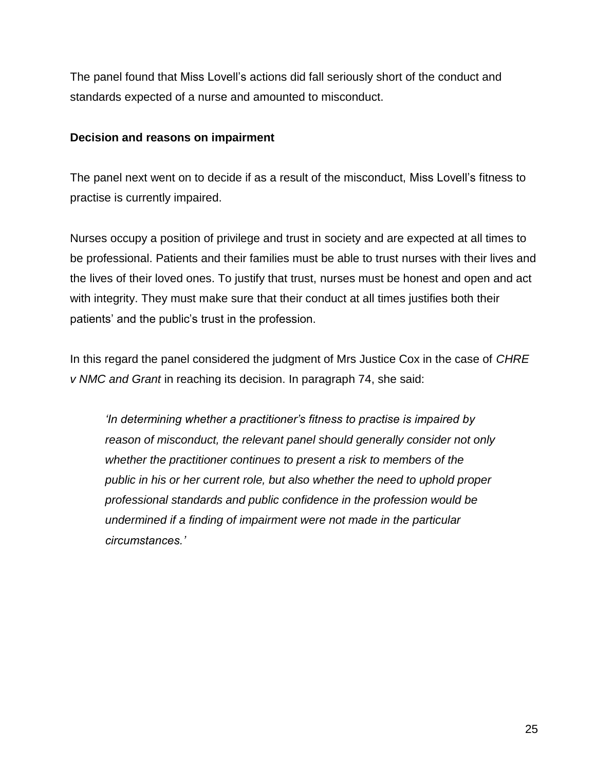The panel found that Miss Lovell's actions did fall seriously short of the conduct and standards expected of a nurse and amounted to misconduct.

#### **Decision and reasons on impairment**

The panel next went on to decide if as a result of the misconduct, Miss Lovell's fitness to practise is currently impaired.

Nurses occupy a position of privilege and trust in society and are expected at all times to be professional. Patients and their families must be able to trust nurses with their lives and the lives of their loved ones. To justify that trust, nurses must be honest and open and act with integrity. They must make sure that their conduct at all times justifies both their patients' and the public's trust in the profession.

In this regard the panel considered the judgment of Mrs Justice Cox in the case of *CHRE v NMC and Grant* in reaching its decision. In paragraph 74, she said:

*'In determining whether a practitioner's fitness to practise is impaired by reason of misconduct, the relevant panel should generally consider not only whether the practitioner continues to present a risk to members of the public in his or her current role, but also whether the need to uphold proper professional standards and public confidence in the profession would be undermined if a finding of impairment were not made in the particular circumstances.'*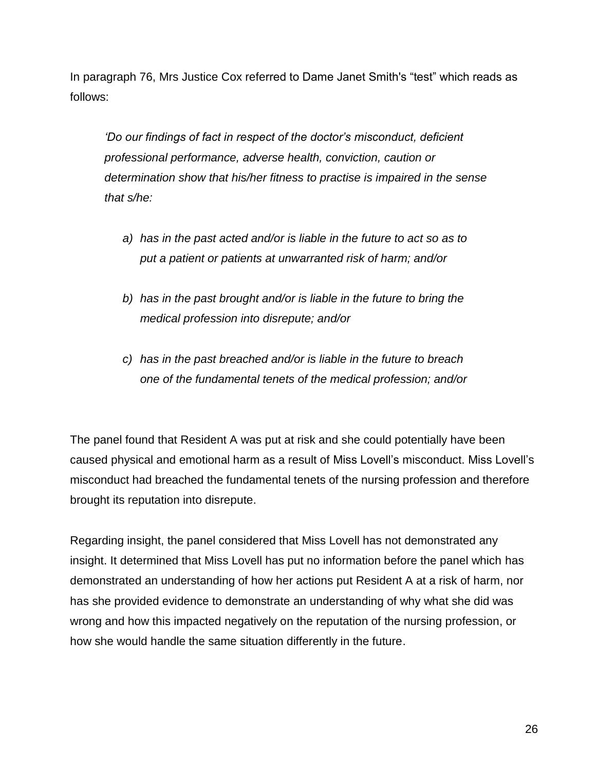In paragraph 76, Mrs Justice Cox referred to Dame Janet Smith's "test" which reads as follows:

*'Do our findings of fact in respect of the doctor's misconduct, deficient professional performance, adverse health, conviction, caution or determination show that his/her fitness to practise is impaired in the sense that s/he:*

- *a) has in the past acted and/or is liable in the future to act so as to put a patient or patients at unwarranted risk of harm; and/or*
- *b) has in the past brought and/or is liable in the future to bring the medical profession into disrepute; and/or*
- *c) has in the past breached and/or is liable in the future to breach one of the fundamental tenets of the medical profession; and/or*

The panel found that Resident A was put at risk and she could potentially have been caused physical and emotional harm as a result of Miss Lovell's misconduct. Miss Lovell's misconduct had breached the fundamental tenets of the nursing profession and therefore brought its reputation into disrepute.

Regarding insight, the panel considered that Miss Lovell has not demonstrated any insight. It determined that Miss Lovell has put no information before the panel which has demonstrated an understanding of how her actions put Resident A at a risk of harm, nor has she provided evidence to demonstrate an understanding of why what she did was wrong and how this impacted negatively on the reputation of the nursing profession, or how she would handle the same situation differently in the future.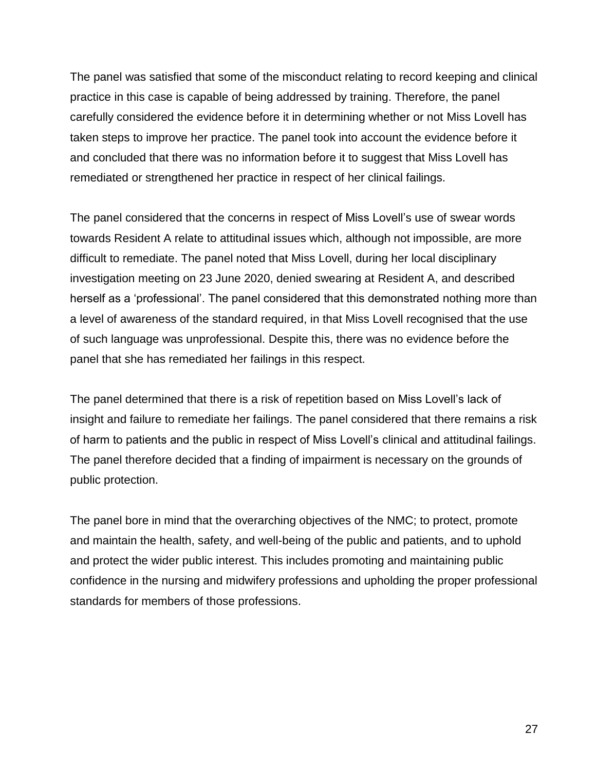The panel was satisfied that some of the misconduct relating to record keeping and clinical practice in this case is capable of being addressed by training. Therefore, the panel carefully considered the evidence before it in determining whether or not Miss Lovell has taken steps to improve her practice. The panel took into account the evidence before it and concluded that there was no information before it to suggest that Miss Lovell has remediated or strengthened her practice in respect of her clinical failings.

The panel considered that the concerns in respect of Miss Lovell's use of swear words towards Resident A relate to attitudinal issues which, although not impossible, are more difficult to remediate. The panel noted that Miss Lovell, during her local disciplinary investigation meeting on 23 June 2020, denied swearing at Resident A, and described herself as a 'professional'. The panel considered that this demonstrated nothing more than a level of awareness of the standard required, in that Miss Lovell recognised that the use of such language was unprofessional. Despite this, there was no evidence before the panel that she has remediated her failings in this respect.

The panel determined that there is a risk of repetition based on Miss Lovell's lack of insight and failure to remediate her failings. The panel considered that there remains a risk of harm to patients and the public in respect of Miss Lovell's clinical and attitudinal failings. The panel therefore decided that a finding of impairment is necessary on the grounds of public protection.

The panel bore in mind that the overarching objectives of the NMC; to protect, promote and maintain the health, safety, and well-being of the public and patients, and to uphold and protect the wider public interest. This includes promoting and maintaining public confidence in the nursing and midwifery professions and upholding the proper professional standards for members of those professions.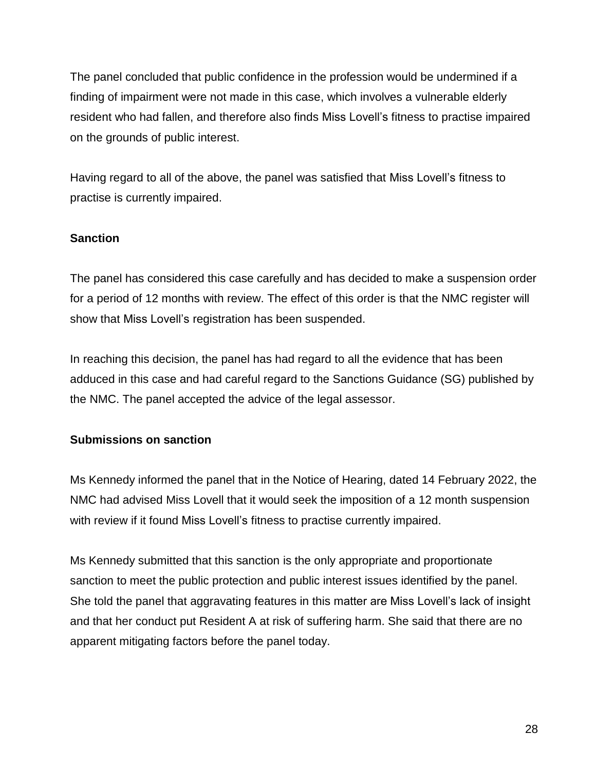The panel concluded that public confidence in the profession would be undermined if a finding of impairment were not made in this case, which involves a vulnerable elderly resident who had fallen, and therefore also finds Miss Lovell's fitness to practise impaired on the grounds of public interest.

Having regard to all of the above, the panel was satisfied that Miss Lovell's fitness to practise is currently impaired.

## **Sanction**

The panel has considered this case carefully and has decided to make a suspension order for a period of 12 months with review. The effect of this order is that the NMC register will show that Miss Lovell's registration has been suspended.

In reaching this decision, the panel has had regard to all the evidence that has been adduced in this case and had careful regard to the Sanctions Guidance (SG) published by the NMC. The panel accepted the advice of the legal assessor.

### **Submissions on sanction**

Ms Kennedy informed the panel that in the Notice of Hearing, dated 14 February 2022, the NMC had advised Miss Lovell that it would seek the imposition of a 12 month suspension with review if it found Miss Lovell's fitness to practise currently impaired.

Ms Kennedy submitted that this sanction is the only appropriate and proportionate sanction to meet the public protection and public interest issues identified by the panel. She told the panel that aggravating features in this matter are Miss Lovell's lack of insight and that her conduct put Resident A at risk of suffering harm. She said that there are no apparent mitigating factors before the panel today.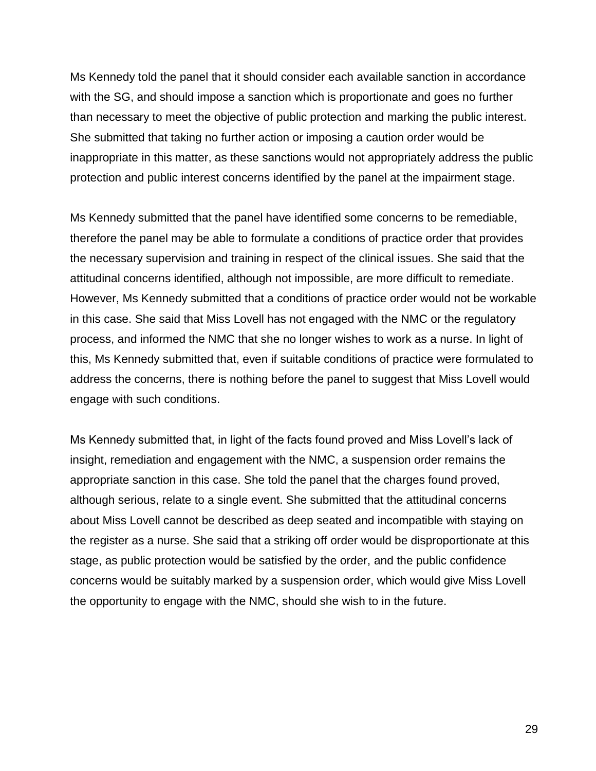Ms Kennedy told the panel that it should consider each available sanction in accordance with the SG, and should impose a sanction which is proportionate and goes no further than necessary to meet the objective of public protection and marking the public interest. She submitted that taking no further action or imposing a caution order would be inappropriate in this matter, as these sanctions would not appropriately address the public protection and public interest concerns identified by the panel at the impairment stage.

Ms Kennedy submitted that the panel have identified some concerns to be remediable, therefore the panel may be able to formulate a conditions of practice order that provides the necessary supervision and training in respect of the clinical issues. She said that the attitudinal concerns identified, although not impossible, are more difficult to remediate. However, Ms Kennedy submitted that a conditions of practice order would not be workable in this case. She said that Miss Lovell has not engaged with the NMC or the regulatory process, and informed the NMC that she no longer wishes to work as a nurse. In light of this, Ms Kennedy submitted that, even if suitable conditions of practice were formulated to address the concerns, there is nothing before the panel to suggest that Miss Lovell would engage with such conditions.

Ms Kennedy submitted that, in light of the facts found proved and Miss Lovell's lack of insight, remediation and engagement with the NMC, a suspension order remains the appropriate sanction in this case. She told the panel that the charges found proved, although serious, relate to a single event. She submitted that the attitudinal concerns about Miss Lovell cannot be described as deep seated and incompatible with staying on the register as a nurse. She said that a striking off order would be disproportionate at this stage, as public protection would be satisfied by the order, and the public confidence concerns would be suitably marked by a suspension order, which would give Miss Lovell the opportunity to engage with the NMC, should she wish to in the future.

29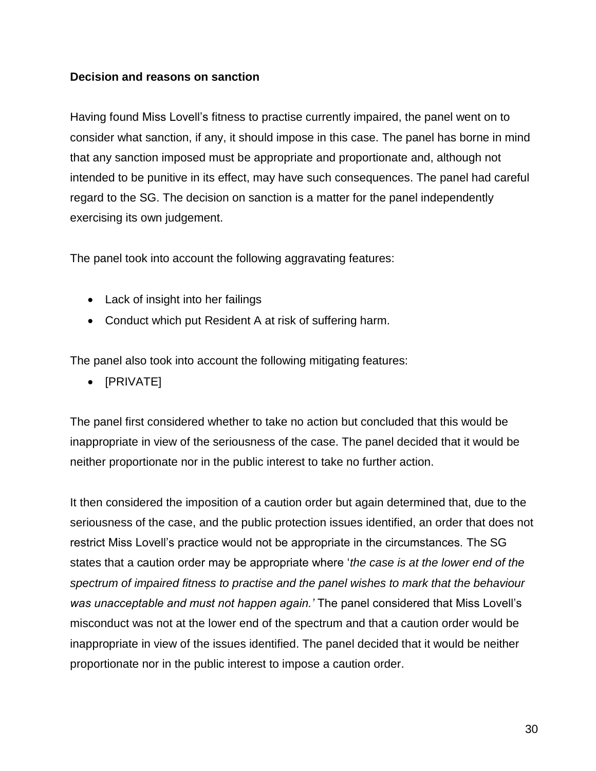### **Decision and reasons on sanction**

Having found Miss Lovell's fitness to practise currently impaired, the panel went on to consider what sanction, if any, it should impose in this case. The panel has borne in mind that any sanction imposed must be appropriate and proportionate and, although not intended to be punitive in its effect, may have such consequences. The panel had careful regard to the SG. The decision on sanction is a matter for the panel independently exercising its own judgement.

The panel took into account the following aggravating features:

- Lack of insight into her failings
- Conduct which put Resident A at risk of suffering harm.

The panel also took into account the following mitigating features:

• [PRIVATE]

The panel first considered whether to take no action but concluded that this would be inappropriate in view of the seriousness of the case. The panel decided that it would be neither proportionate nor in the public interest to take no further action.

It then considered the imposition of a caution order but again determined that, due to the seriousness of the case, and the public protection issues identified, an order that does not restrict Miss Lovell's practice would not be appropriate in the circumstances. The SG states that a caution order may be appropriate where '*the case is at the lower end of the spectrum of impaired fitness to practise and the panel wishes to mark that the behaviour was unacceptable and must not happen again.'* The panel considered that Miss Lovell's misconduct was not at the lower end of the spectrum and that a caution order would be inappropriate in view of the issues identified. The panel decided that it would be neither proportionate nor in the public interest to impose a caution order.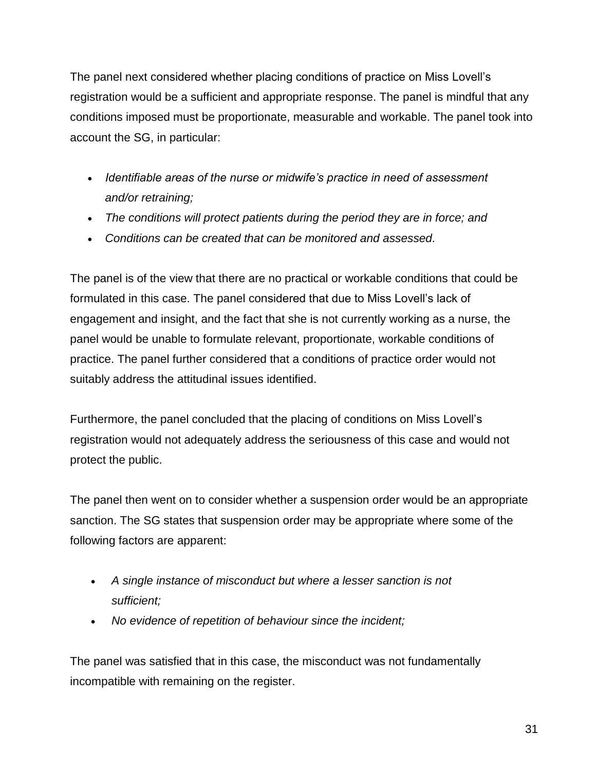The panel next considered whether placing conditions of practice on Miss Lovell's registration would be a sufficient and appropriate response. The panel is mindful that any conditions imposed must be proportionate, measurable and workable. The panel took into account the SG, in particular:

- *Identifiable areas of the nurse or midwife's practice in need of assessment and/or retraining;*
- *The conditions will protect patients during the period they are in force; and*
- *Conditions can be created that can be monitored and assessed.*

The panel is of the view that there are no practical or workable conditions that could be formulated in this case. The panel considered that due to Miss Lovell's lack of engagement and insight, and the fact that she is not currently working as a nurse, the panel would be unable to formulate relevant, proportionate, workable conditions of practice. The panel further considered that a conditions of practice order would not suitably address the attitudinal issues identified.

Furthermore, the panel concluded that the placing of conditions on Miss Lovell's registration would not adequately address the seriousness of this case and would not protect the public.

The panel then went on to consider whether a suspension order would be an appropriate sanction. The SG states that suspension order may be appropriate where some of the following factors are apparent:

- *A single instance of misconduct but where a lesser sanction is not sufficient;*
- *No evidence of repetition of behaviour since the incident;*

The panel was satisfied that in this case, the misconduct was not fundamentally incompatible with remaining on the register.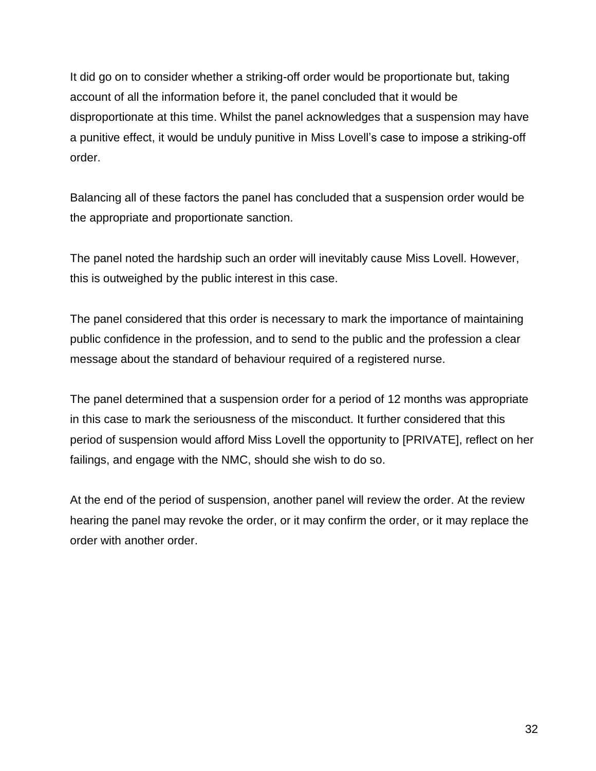It did go on to consider whether a striking-off order would be proportionate but, taking account of all the information before it, the panel concluded that it would be disproportionate at this time. Whilst the panel acknowledges that a suspension may have a punitive effect, it would be unduly punitive in Miss Lovell's case to impose a striking-off order.

Balancing all of these factors the panel has concluded that a suspension order would be the appropriate and proportionate sanction.

The panel noted the hardship such an order will inevitably cause Miss Lovell. However, this is outweighed by the public interest in this case.

The panel considered that this order is necessary to mark the importance of maintaining public confidence in the profession, and to send to the public and the profession a clear message about the standard of behaviour required of a registered nurse.

The panel determined that a suspension order for a period of 12 months was appropriate in this case to mark the seriousness of the misconduct. It further considered that this period of suspension would afford Miss Lovell the opportunity to [PRIVATE], reflect on her failings, and engage with the NMC, should she wish to do so.

At the end of the period of suspension, another panel will review the order. At the review hearing the panel may revoke the order, or it may confirm the order, or it may replace the order with another order.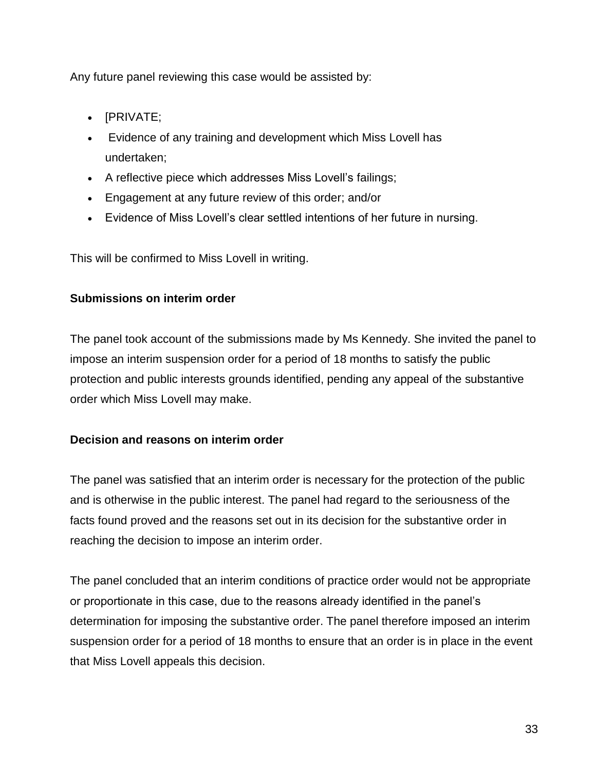Any future panel reviewing this case would be assisted by:

- [PRIVATE;
- Evidence of any training and development which Miss Lovell has undertaken;
- A reflective piece which addresses Miss Lovell's failings;
- Engagement at any future review of this order; and/or
- Evidence of Miss Lovell's clear settled intentions of her future in nursing.

This will be confirmed to Miss Lovell in writing.

### **Submissions on interim order**

The panel took account of the submissions made by Ms Kennedy. She invited the panel to impose an interim suspension order for a period of 18 months to satisfy the public protection and public interests grounds identified, pending any appeal of the substantive order which Miss Lovell may make.

### **Decision and reasons on interim order**

The panel was satisfied that an interim order is necessary for the protection of the public and is otherwise in the public interest. The panel had regard to the seriousness of the facts found proved and the reasons set out in its decision for the substantive order in reaching the decision to impose an interim order.

The panel concluded that an interim conditions of practice order would not be appropriate or proportionate in this case, due to the reasons already identified in the panel's determination for imposing the substantive order. The panel therefore imposed an interim suspension order for a period of 18 months to ensure that an order is in place in the event that Miss Lovell appeals this decision.